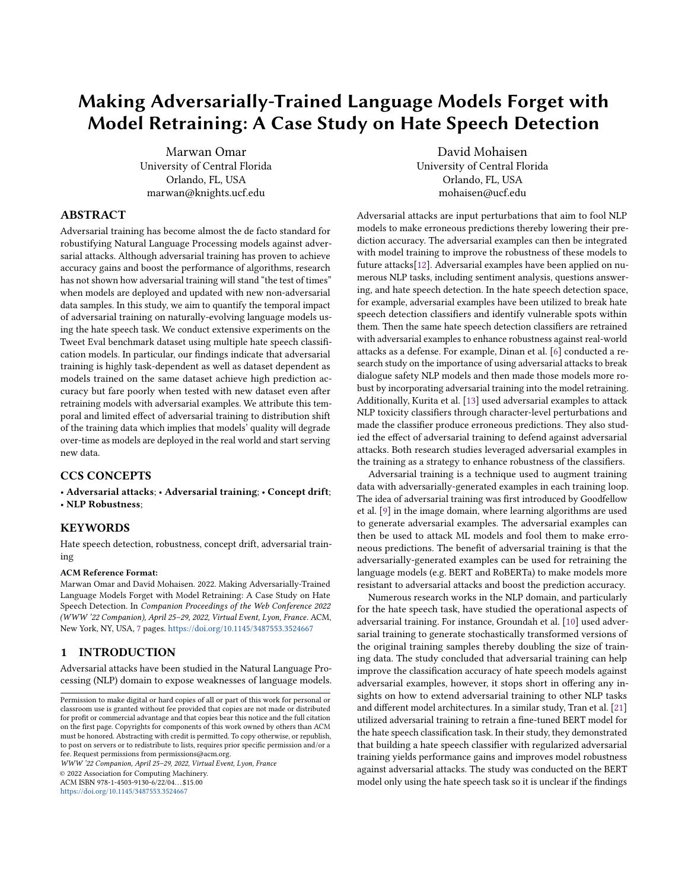# Making Adversarially-Trained Language Models Forget with Model Retraining: A Case Study on Hate Speech Detection

Marwan Omar University of Central Florida Orlando, FL, USA marwan@knights.ucf.edu

## ABSTRACT

Adversarial training has become almost the de facto standard for robustifying Natural Language Processing models against adversarial attacks. Although adversarial training has proven to achieve accuracy gains and boost the performance of algorithms, research has not shown how adversarial training will stand "the test of times" when models are deployed and updated with new non-adversarial data samples. In this study, we aim to quantify the temporal impact of adversarial training on naturally-evolving language models using the hate speech task. We conduct extensive experiments on the Tweet Eval benchmark dataset using multiple hate speech classification models. In particular, our findings indicate that adversarial training is highly task-dependent as well as dataset dependent as models trained on the same dataset achieve high prediction accuracy but fare poorly when tested with new dataset even after retraining models with adversarial examples. We attribute this temporal and limited effect of adversarial training to distribution shift of the training data which implies that models' quality will degrade over-time as models are deployed in the real world and start serving new data.

## CCS CONCEPTS

• Adversarial attacks; • Adversarial training; • Concept drift; • NLP Robustness;

## KEYWORDS

Hate speech detection, robustness, concept drift, adversarial training

#### ACM Reference Format:

Marwan Omar and David Mohaisen. 2022. Making Adversarially-Trained Language Models Forget with Model Retraining: A Case Study on Hate Speech Detection. In Companion Proceedings of the Web Conference 2022 (WWW '22 Companion), April 25–29, 2022, Virtual Event, Lyon, France. ACM, New York, NY, USA, [7](#page-6-0) pages. <https://doi.org/10.1145/3487553.3524667>

## 1 INTRODUCTION

Adversarial attacks have been studied in the Natural Language Processing (NLP) domain to expose weaknesses of language models.

WWW '22 Companion, April 25–29, 2022, Virtual Event, Lyon, France © 2022 Association for Computing Machinery.

ACM ISBN 978-1-4503-9130-6/22/04. . . \$15.00

<https://doi.org/10.1145/3487553.3524667>

David Mohaisen University of Central Florida Orlando, FL, USA mohaisen@ucf.edu

Adversarial attacks are input perturbations that aim to fool NLP models to make erroneous predictions thereby lowering their prediction accuracy. The adversarial examples can then be integrated with model training to improve the robustness of these models to future attacks[\[12\]](#page-6-1). Adversarial examples have been applied on numerous NLP tasks, including sentiment analysis, questions answering, and hate speech detection. In the hate speech detection space, for example, adversarial examples have been utilized to break hate speech detection classifiers and identify vulnerable spots within them. Then the same hate speech detection classifiers are retrained with adversarial examples to enhance robustness against real-world attacks as a defense. For example, Dinan et al. [\[6\]](#page-6-2) conducted a research study on the importance of using adversarial attacks to break dialogue safety NLP models and then made those models more robust by incorporating adversarial training into the model retraining. Additionally, Kurita et al. [\[13\]](#page-6-3) used adversarial examples to attack NLP toxicity classifiers through character-level perturbations and made the classifier produce erroneous predictions. They also studied the effect of adversarial training to defend against adversarial attacks. Both research studies leveraged adversarial examples in the training as a strategy to enhance robustness of the classifiers.

Adversarial training is a technique used to augment training data with adversarially-generated examples in each training loop. The idea of adversarial training was first introduced by Goodfellow et al. [\[9\]](#page-6-4) in the image domain, where learning algorithms are used to generate adversarial examples. The adversarial examples can then be used to attack ML models and fool them to make erroneous predictions. The benefit of adversarial training is that the adversarially-generated examples can be used for retraining the language models (e.g. BERT and RoBERTa) to make models more resistant to adversarial attacks and boost the prediction accuracy.

Numerous research works in the NLP domain, and particularly for the hate speech task, have studied the operational aspects of adversarial training. For instance, Groundah et al. [\[10\]](#page-6-5) used adversarial training to generate stochastically transformed versions of the original training samples thereby doubling the size of training data. The study concluded that adversarial training can help improve the classification accuracy of hate speech models against adversarial examples, however, it stops short in offering any insights on how to extend adversarial training to other NLP tasks and different model architectures. In a similar study, Tran et al. [\[21\]](#page-6-6) utilized adversarial training to retrain a fine-tuned BERT model for the hate speech classification task. In their study, they demonstrated that building a hate speech classifier with regularized adversarial training yields performance gains and improves model robustness against adversarial attacks. The study was conducted on the BERT model only using the hate speech task so it is unclear if the findings

Permission to make digital or hard copies of all or part of this work for personal or classroom use is granted without fee provided that copies are not made or distributed for profit or commercial advantage and that copies bear this notice and the full citation on the first page. Copyrights for components of this work owned by others than ACM must be honored. Abstracting with credit is permitted. To copy otherwise, or republish, to post on servers or to redistribute to lists, requires prior specific permission and/or a fee. Request permissions from permissions@acm.org.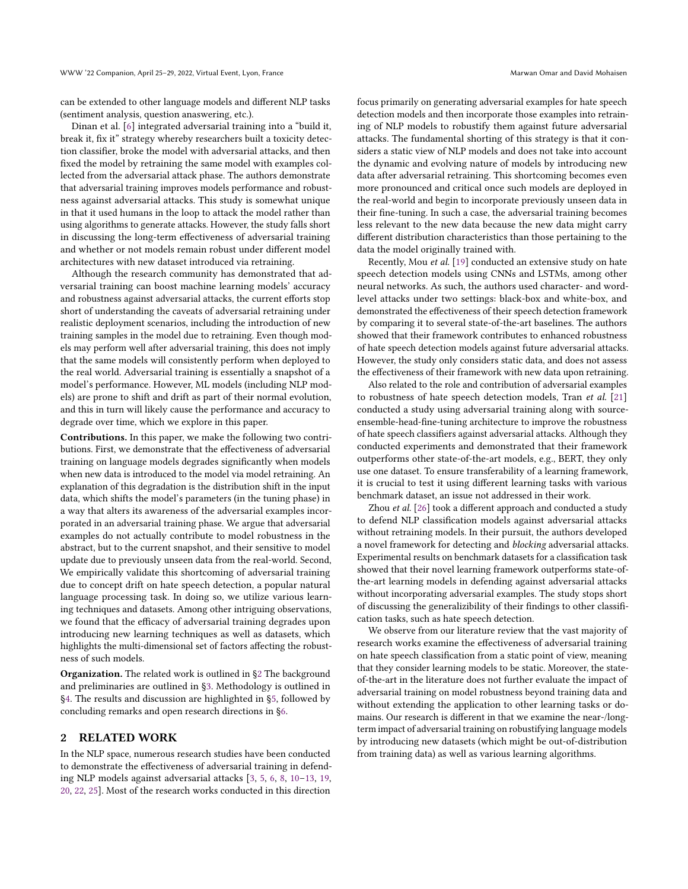can be extended to other language models and different NLP tasks (sentiment analysis, question anaswering, etc.).

Dinan et al. [\[6\]](#page-6-2) integrated adversarial training into a "build it, break it, fix it" strategy whereby researchers built a toxicity detection classifier, broke the model with adversarial attacks, and then fixed the model by retraining the same model with examples collected from the adversarial attack phase. The authors demonstrate that adversarial training improves models performance and robustness against adversarial attacks. This study is somewhat unique in that it used humans in the loop to attack the model rather than using algorithms to generate attacks. However, the study falls short in discussing the long-term effectiveness of adversarial training and whether or not models remain robust under different model architectures with new dataset introduced via retraining.

Although the research community has demonstrated that adversarial training can boost machine learning models' accuracy and robustness against adversarial attacks, the current efforts stop short of understanding the caveats of adversarial retraining under realistic deployment scenarios, including the introduction of new training samples in the model due to retraining. Even though models may perform well after adversarial training, this does not imply that the same models will consistently perform when deployed to the real world. Adversarial training is essentially a snapshot of a model's performance. However, ML models (including NLP models) are prone to shift and drift as part of their normal evolution, and this in turn will likely cause the performance and accuracy to degrade over time, which we explore in this paper.

Contributions. In this paper, we make the following two contributions. First, we demonstrate that the effectiveness of adversarial training on language models degrades significantly when models when new data is introduced to the model via model retraining. An explanation of this degradation is the distribution shift in the input data, which shifts the model's parameters (in the tuning phase) in a way that alters its awareness of the adversarial examples incorporated in an adversarial training phase. We argue that adversarial examples do not actually contribute to model robustness in the abstract, but to the current snapshot, and their sensitive to model update due to previously unseen data from the real-world. Second, We empirically validate this shortcoming of adversarial training due to concept drift on hate speech detection, a popular natural language processing task. In doing so, we utilize various learning techniques and datasets. Among other intriguing observations, we found that the efficacy of adversarial training degrades upon introducing new learning techniques as well as datasets, which highlights the multi-dimensional set of factors affecting the robustness of such models.

Organization. The related work is outlined in [§2](#page-1-0) The background and preliminaries are outlined in [§3.](#page-2-0) Methodology is outlined in [§4.](#page-3-0) The results and discussion are highlighted in [§5,](#page-4-0) followed by concluding remarks and open research directions in [§6.](#page-6-7)

#### <span id="page-1-0"></span>2 RELATED WORK

In the NLP space, numerous research studies have been conducted to demonstrate the effectiveness of adversarial training in defending NLP models against adversarial attacks [\[3,](#page-6-8) [5,](#page-6-9) [6,](#page-6-2) [8,](#page-6-10) [10–](#page-6-5)[13,](#page-6-3) [19,](#page-6-11) [20,](#page-6-12) [22,](#page-6-13) [25\]](#page-6-14). Most of the research works conducted in this direction

focus primarily on generating adversarial examples for hate speech detection models and then incorporate those examples into retraining of NLP models to robustify them against future adversarial attacks. The fundamental shorting of this strategy is that it considers a static view of NLP models and does not take into account the dynamic and evolving nature of models by introducing new data after adversarial retraining. This shortcoming becomes even more pronounced and critical once such models are deployed in the real-world and begin to incorporate previously unseen data in their fine-tuning. In such a case, the adversarial training becomes less relevant to the new data because the new data might carry different distribution characteristics than those pertaining to the data the model originally trained with.

Recently, Mou et al. [\[19\]](#page-6-11) conducted an extensive study on hate speech detection models using CNNs and LSTMs, among other neural networks. As such, the authors used character- and wordlevel attacks under two settings: black-box and white-box, and demonstrated the effectiveness of their speech detection framework by comparing it to several state-of-the-art baselines. The authors showed that their framework contributes to enhanced robustness of hate speech detection models against future adversarial attacks. However, the study only considers static data, and does not assess the effectiveness of their framework with new data upon retraining.

Also related to the role and contribution of adversarial examples to robustness of hate speech detection models, Tran et al. [\[21\]](#page-6-6) conducted a study using adversarial training along with sourceensemble-head-fine-tuning architecture to improve the robustness of hate speech classifiers against adversarial attacks. Although they conducted experiments and demonstrated that their framework outperforms other state-of-the-art models, e.g., BERT, they only use one dataset. To ensure transferability of a learning framework, it is crucial to test it using different learning tasks with various benchmark dataset, an issue not addressed in their work.

Zhou et al. [\[26\]](#page-6-15) took a different approach and conducted a study to defend NLP classification models against adversarial attacks without retraining models. In their pursuit, the authors developed a novel framework for detecting and blocking adversarial attacks. Experimental results on benchmark datasets for a classification task showed that their novel learning framework outperforms state-ofthe-art learning models in defending against adversarial attacks without incorporating adversarial examples. The study stops short of discussing the generalizibility of their findings to other classification tasks, such as hate speech detection.

We observe from our literature review that the vast majority of research works examine the effectiveness of adversarial training on hate speech classification from a static point of view, meaning that they consider learning models to be static. Moreover, the stateof-the-art in the literature does not further evaluate the impact of adversarial training on model robustness beyond training data and without extending the application to other learning tasks or domains. Our research is different in that we examine the near-/longterm impact of adversarial training on robustifying language models by introducing new datasets (which might be out-of-distribution from training data) as well as various learning algorithms.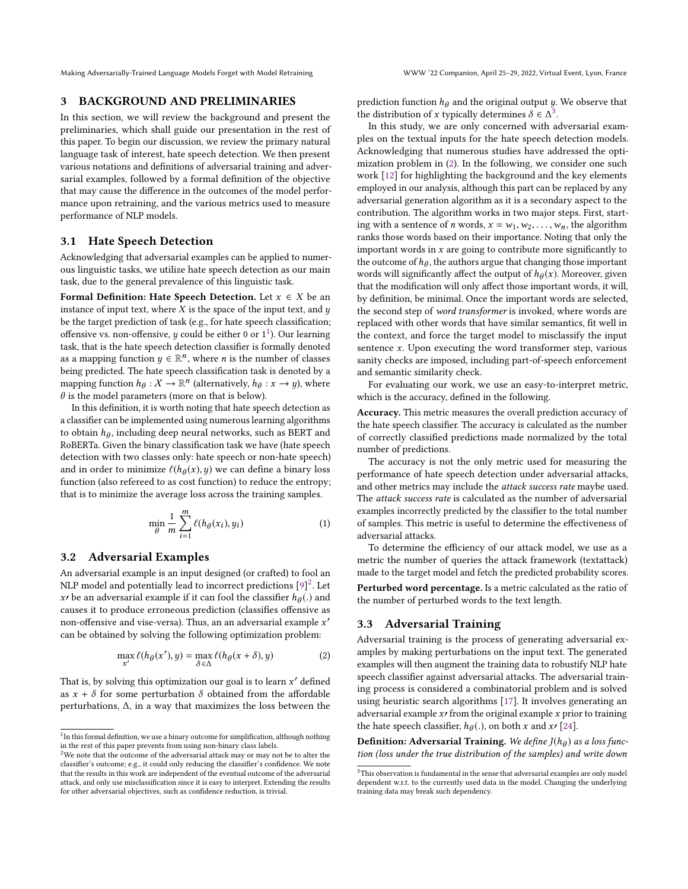Making Adversarially-Trained Language Models Forget with Model Retraining WWW '22 Companion, April 25–29, 2022, Virtual Event, Lyon, France

## <span id="page-2-0"></span>3 BACKGROUND AND PRELIMINARIES

In this section, we will review the background and present the preliminaries, which shall guide our presentation in the rest of this paper. To begin our discussion, we review the primary natural language task of interest, hate speech detection. We then present various notations and definitions of adversarial training and adversarial examples, followed by a formal definition of the objective that may cause the difference in the outcomes of the model performance upon retraining, and the various metrics used to measure performance of NLP models.

#### 3.1 Hate Speech Detection

Acknowledging that adversarial examples can be applied to numerous linguistic tasks, we utilize hate speech detection as our main task, due to the general prevalence of this linguistic task.

Formal Definition: Hate Speech Detection. Let  $x \in X$  be an instance of input text, where  $X$  is the space of the input text, and  $y$ be the target prediction of task (e.g., for hate speech classification; offensive vs. non-offensive, y could be either  $0$  or  $1<sup>1</sup>$  $1<sup>1</sup>$ ). Our learning<br>task, that is the hate speech detection classifier is formally denoted task, that is the hate speech detection classifier is formally denoted as a mapping function  $y \in \mathbb{R}^n$ , where *n* is the number of classes<br>being predicted. The hate speech classification task is denoted by a being predicted. The hate speech classification task is denoted by a mapping function  $h_{\theta}: X \to \mathbb{R}^n$  (alternatively,  $h_{\theta}: x \to y$ ), where  $\theta$  is the model parameters (more on that is helow)  $\theta$  is the model parameters (more on that is below).

In this definition, it is worth noting that hate speech detection as a classifier can be implemented using numerous learning algorithms to obtain  $h_{\theta}$ , including deep neural networks, such as BERT and  $R_{\text{O}}$ RoBERTa. Given the binary classification task we have (hate speech detection with two classes only: hate speech or non-hate speech) and in order to minimize  $\ell(h_\theta(x), y)$  we can define a binary loss function (also refereed to as cost function) to reduce the entropy function (also refereed to as cost function) to reduce the entropy; that is to minimize the average loss across the training samples.

<span id="page-2-5"></span>
$$
\min_{\theta} \frac{1}{m} \sum_{i=1}^{m} \ell(h_{\theta}(x_i), y_i)
$$
 (1)

#### 3.2 Adversarial Examples

An adversarial example is an input designed (or crafted) to fool an NLP model and potentially lead to incorrect predictions  $[9]^2$  $[9]^2$  $[9]^2$ . Let x' be an adversarial example if it can fool the classifier  $h_{\theta}(.)$  and causes it to produce erroneous prediction (classifies offensive as causes it to produce erroneous prediction (classifies offensive as non-offensive and vise-versa). Thus, an an adversarial example  $x'$ can be obtained by solving the following optimization problem:

$$
\max_{x'} \ell(h_{\theta}(x'), y) = \max_{\delta \in \Delta} \ell(h_{\theta}(x + \delta), y)
$$
 (2)

That is, by solving this optimization our goal is to learn  $x'$  defined<br>as  $x + \delta$  for some perturbation  $\delta$  obtained from the affordable as  $x + \delta$  for some perturbation  $\delta$  obtained from the affordable perturbations, ∆, in a way that maximizes the loss between the prediction function  $h_\theta$  and the original output [y](#page-2-3). We observe that the distribution of x typically determines  $\delta \in \Delta^3$ .<br>In this study, we are only concerned with a

In this study, we are only concerned with adversarial examples on the textual inputs for the hate speech detection models. Acknowledging that numerous studies have addressed the optimization problem in [\(2\)](#page-2-4). In the following, we consider one such work [\[12\]](#page-6-1) for highlighting the background and the key elements employed in our analysis, although this part can be replaced by any adversarial generation algorithm as it is a secondary aspect to the contribution. The algorithm works in two major steps. First, starting with a sentence of *n* words,  $x = w_1, w_2, \ldots, w_n$ , the algorithm ranks those words based on their importance. Noting that only the important words in  $x$  are going to contribute more significantly to the outcome of  $h_{\theta}$ , the authors argue that changing those important<br>words will significantly affect the output of  $h_{\theta}(x)$ . Moreover, given words will significantly affect the output of  $h_{\theta}(x)$ . Moreover, given<br>that the modification will only affect those important words, it will that the modification will only affect those important words, it will, by definition, be minimal. Once the important words are selected, the second step of word transformer is invoked, where words are replaced with other words that have similar semantics, fit well in the context, and force the target model to misclassify the input sentence  $x$ . Upon executing the word transformer step, various sanity checks are imposed, including part-of-speech enforcement and semantic similarity check.

For evaluating our work, we use an easy-to-interpret metric, which is the accuracy, defined in the following.

Accuracy. This metric measures the overall prediction accuracy of the hate speech classifier. The accuracy is calculated as the number of correctly classified predictions made normalized by the total number of predictions.

The accuracy is not the only metric used for measuring the performance of hate speech detection under adversarial attacks, and other metrics may include the attack success rate maybe used. The attack success rate is calculated as the number of adversarial examples incorrectly predicted by the classifier to the total number of samples. This metric is useful to determine the effectiveness of adversarial attacks.

To determine the efficiency of our attack model, we use as a metric the number of queries the attack framework (textattack) made to the target model and fetch the predicted probability scores.

Perturbed word percentage. Is a metric calculated as the ratio of the number of perturbed words to the text length.

## 3.3 Adversarial Training

<span id="page-2-4"></span>Adversarial training is the process of generating adversarial examples by making perturbations on the input text. The generated examples will then augment the training data to robustify NLP hate speech classifier against adversarial attacks. The adversarial training process is considered a combinatorial problem and is solved using heuristic search algorithms [\[17\]](#page-6-16). It involves generating an adversarial example  $x<sub>f</sub>$  from the original example x prior to training the hate speech classifier,  $h_{\theta}(.)$ , on both x and x $\left[24\right]$ .

**Definition: Adversarial Training.** We define  $J(h_\theta)$  as a loss function (loss under the true distribution of the samples) and write down tion (loss under the true distribution of the samples) and write down

<span id="page-2-1"></span> $1$ In this formal definition, we use a binary outcome for simplification, although nothing in the rest of this paper prevents from using non-binary class labels.

<span id="page-2-2"></span><sup>&</sup>lt;sup>2</sup>We note that the outcome of the adversarial attack may or may not be to alter the classifier's outcome; e.g., it could only reducing the classifier's confidence. We note that the results in this work are independent of the eventual outcome of the adversarial attack, and only use misclassification since it is easy to interpret. Extending the results for other adversarial objectives, such as confidence reduction, is trivial.

<span id="page-2-3"></span> $^3\mathrm{This}$  observation is fundamental in the sense that adversarial examples are only model dependent w.r.t. to the currently used data in the model. Changing the underlying training data may break such dependency.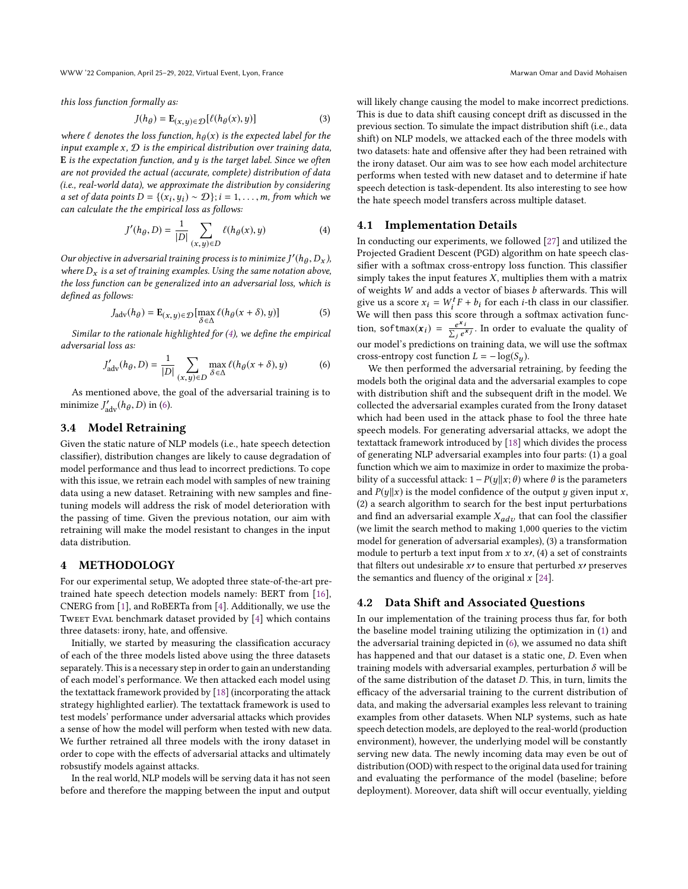WWW '22 Companion, April 25–29, 2022, Virtual Event, Lyon, France Marwan Omar and David Mohaisen

this loss function formally as:

$$
J(h_{\theta}) = \mathbf{E}_{(x,y)\in\mathcal{D}}[\ell(h_{\theta}(x), y)]
$$
 (3)

where  $\ell$  denotes the loss function,  $h_{\theta}(x)$  is the expected label for the input example  $x, \mathcal{D}$  is the empirical distribution over training data. input example  $x, D$  is the empirical distribution over training data, <sup>E</sup> is the expectation function, and y is the target label. Since we often are not provided the actual (accurate, complete) distribution of data (i.e., real-world data), we approximate the distribution by considering a set of data points  $D = \{ (x_i, y_i) \sim D \}$ ; i = 1, ..., m, from which we can calculate the the empirical loss as follows: can calculate the the empirical loss as follows:

$$
J'(h_{\theta}, D) = \frac{1}{|D|} \sum_{(x, y) \in D} \ell(h_{\theta}(x), y)
$$
 (4)

Our objective in adversarial training process is to minimize  $J'(h_{\theta}, D_x)$ ,<br>where D is a set of training examples. Using the same notation above where  $D_x$  is a set of training examples. Using the same notation above, the loss function can be generalized into an adversarial loss, which is defined as follows:

$$
J_{\text{adv}}(h_{\theta}) = \mathbf{E}_{(x, y) \in \mathcal{D}}[\max_{\delta \in \Delta} \ell(h_{\theta}(x + \delta), y)] \tag{5}
$$

 $S$  is  $(S, g) \subseteq S \setminus S \subseteq \triangle$ <br>Similar to the rationale highlighted for [\(4\)](#page-3-1), we define the empirical adversarial loss as:

$$
J'_{\rm adv}(h_{\theta}, D) = \frac{1}{|D|} \sum_{(x, y) \in D} \max_{\delta \in \Delta} \ell(h_{\theta}(x + \delta), y)
$$
 (6)

As mentioned above, the goal of the adversarial training is to minimize  $J'_{\text{adv}}(h_{\theta}, D)$  in [\(6\)](#page-3-2).

#### 3.4 Model Retraining

Given the static nature of NLP models (i.e., hate speech detection classifier), distribution changes are likely to cause degradation of model performance and thus lead to incorrect predictions. To cope with this issue, we retrain each model with samples of new training data using a new dataset. Retraining with new samples and finetuning models will address the risk of model deterioration with the passing of time. Given the previous notation, our aim with retraining will make the model resistant to changes in the input data distribution.

## <span id="page-3-0"></span>4 METHODOLOGY

For our experimental setup, We adopted three state-of-the-art pretrained hate speech detection models namely: BERT from [\[16\]](#page-6-18), CNERG from [\[1\]](#page-6-19), and RoBERTa from [\[4\]](#page-6-20). Additionally, we use the TWEET EVAL benchmark dataset provided by [\[4\]](#page-6-20) which contains three datasets: irony, hate, and offensive.

Initially, we started by measuring the classification accuracy of each of the three models listed above using the three datasets separately. This is a necessary step in order to gain an understanding of each model's performance. We then attacked each model using the textattack framework provided by [\[18\]](#page-6-21) (incorporating the attack strategy highlighted earlier). The textattack framework is used to test models' performance under adversarial attacks which provides a sense of how the model will perform when tested with new data. We further retrained all three models with the irony dataset in order to cope with the effects of adversarial attacks and ultimately robsustify models against attacks.

In the real world, NLP models will be serving data it has not seen before and therefore the mapping between the input and output will likely change causing the model to make incorrect predictions. This is due to data shift causing concept drift as discussed in the previous section. To simulate the impact distribution shift (i.e., data shift) on NLP models, we attacked each of the three models with two datasets: hate and offensive after they had been retrained with the irony dataset. Our aim was to see how each model architecture performs when tested with new dataset and to determine if hate speech detection is task-dependent. Its also interesting to see how the hate speech model transfers across multiple dataset.

#### <span id="page-3-1"></span>4.1 Implementation Details

In conducting our experiments, we followed [\[27\]](#page-6-22) and utilized the Projected Gradient Descent (PGD) algorithm on hate speech classifier with a softmax cross-entropy loss function. This classifier simply takes the input features  $X$ , multiplies them with a matrix of weights  $W$  and adds a vector of biases  $b$  afterwards. This will give us a score  $x_i = W_i^t F + b_i$  for each *i*-th class in our classifier.<br>We will then noss this score through a softmax activation func-We will then pass this score through a softmax activation function, softmax $(x_i) = \frac{e^{x_i}}{\sum_j e^z}$  $\frac{e^{x_i}}{\sum_j e^{x_j}}$ . In order to evaluate the quality of our model's predictions on training data, we will use the softmax cross-entropy cost function  $L = -\log(S_y)$ .

<span id="page-3-2"></span>We then performed the adversarial retraining, by feeding the models both the original data and the adversarial examples to cope with distribution shift and the subsequent drift in the model. We collected the adversarial examples curated from the Irony dataset which had been used in the attack phase to fool the three hate speech models. For generating adversarial attacks, we adopt the textattack framework introduced by [\[18\]](#page-6-21) which divides the process of generating NLP adversarial examples into four parts: (1) a goal function which we aim to maximize in order to maximize the probability of a successful attack:  $1 - P(y||x; \theta)$  where  $\theta$  is the parameters and  $P(y||x)$  is the model confidence of the output y given input x, (2) a search algorithm to search for the best input perturbations and find an adversarial example  $X_{adv}$  that can fool the classifier (we limit the search method to making 1,000 queries to the victim model for generation of adversarial examples), (3) a transformation module to perturb a text input from  $x$  to  $x$ , (4) a set of constraints that filters out undesirable  $x<sup>j</sup>$  to ensure that perturbed  $x<sup>j</sup>$  preserves the semantics and fluency of the original  $x$  [\[24\]](#page-6-17).

#### 4.2 Data Shift and Associated Questions

In our implementation of the training process thus far, for both the baseline model training utilizing the optimization in [\(1\)](#page-2-5) and the adversarial training depicted in [\(6\)](#page-3-2), we assumed no data shift has happened and that our dataset is a static one, D. Even when training models with adversarial examples, perturbation  $\delta$  will be of the same distribution of the dataset D. This, in turn, limits the efficacy of the adversarial training to the current distribution of data, and making the adversarial examples less relevant to training examples from other datasets. When NLP systems, such as hate speech detection models, are deployed to the real-world (production environment), however, the underlying model will be constantly serving new data. The newly incoming data may even be out of distribution (OOD) with respect to the original data used for training and evaluating the performance of the model (baseline; before deployment). Moreover, data shift will occur eventually, yielding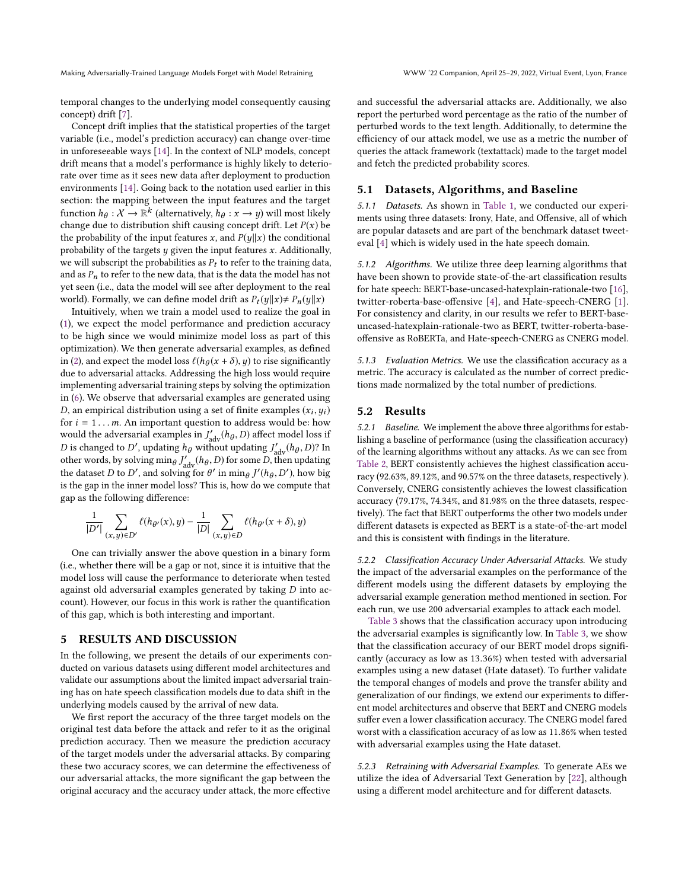temporal changes to the underlying model consequently causing concept) drift [\[7\]](#page-6-23).

Concept drift implies that the statistical properties of the target variable (i.e., model's prediction accuracy) can change over-time in unforeseeable ways [\[14\]](#page-6-24). In the context of NLP models, concept drift means that a model's performance is highly likely to deteriorate over time as it sees new data after deployment to production environments [\[14\]](#page-6-24). Going back to the notation used earlier in this section: the mapping between the input features and the target function  $h_{\theta}: X \to \mathbb{R}^k$  (alternatively,  $h_{\theta}: x \to y$ ) will most likely change due to distribution shift causing concent drift. Let  $P(x)$  be change due to distribution shift causing concept drift. Let  $P(x)$  be the probability of the input features x, and  $P(y||x)$  the conditional probability of the targets  $y$  given the input features  $x$ . Additionally, we will subscript the probabilities as  $P_t$  to refer to the training data, and as  $P_n$  to refer to the new data, that is the data the model has not yet seen (i.e., data the model will see after deployment to the real world). Formally, we can define model drift as  $P_t(y||x) \neq P_n(y||x)$ .

Intuitively, when we train a model used to realize the goal in [\(1\)](#page-2-5), we expect the model performance and prediction accuracy to be high since we would minimize model loss as part of this optimization). We then generate adversarial examples, as defined in [\(2\)](#page-2-4), and expect the model loss  $\ell(h_\theta(x + \delta), y)$  to rise significantly<br>due to adversarial attacks. Addressing the high loss would require due to adversarial attacks. Addressing the high loss would require implementing adversarial training steps by solving the optimization in [\(6\)](#page-3-2). We observe that adversarial examples are generated using D, an empirical distribution using a set of finite examples  $(x_i, y_i)$ <br>for  $i = 1$ , m. An important question to address would be bow for  $i = 1...m$ . An important question to address would be: how would the adversarial examples in  $J'_{\text{adv}}(h_{\theta}, D)$  affect model loss if D is changed to D', updating  $h_{\theta}$  without updating  $J'_{adv}(h_{\theta}, D)$ ? In other words by solving min  $\epsilon$  I', (he D) for some D then undating other words, by solving  $\min_{\theta} J'_{\text{adv}}(h_{\theta}, D)$  for some D, then updating<br>the dataset D to D' and solving for  $\theta'$  in min  $J'(h \circ D')$  how high the dataset D to D', and solving for  $\theta'$  in min<sub> $\theta$ </sub>  $J'(h_{\theta}, D')$ , how big<br>is the son in the inner model lose? This is how do we compute that  $\frac{1}{2}$  is the gap in the inner model loss? This is, how do we compute that gap as the following difference:

$$
\frac{1}{|D'|}\sum_{(x,y)\in D'} \ell(h_{\theta'}(x),y)-\frac{1}{|D|}\sum_{(x,y)\in D} \ell(h_{\theta'}(x+\delta),y)
$$

One can trivially answer the above question in a binary form (i.e., whether there will be a gap or not, since it is intuitive that the model loss will cause the performance to deteriorate when tested against old adversarial examples generated by taking D into account). However, our focus in this work is rather the quantification of this gap, which is both interesting and important.

#### <span id="page-4-0"></span>5 RESULTS AND DISCUSSION

In the following, we present the details of our experiments conducted on various datasets using different model architectures and validate our assumptions about the limited impact adversarial training has on hate speech classification models due to data shift in the underlying models caused by the arrival of new data.

We first report the accuracy of the three target models on the original test data before the attack and refer to it as the original prediction accuracy. Then we measure the prediction accuracy of the target models under the adversarial attacks. By comparing these two accuracy scores, we can determine the effectiveness of our adversarial attacks, the more significant the gap between the original accuracy and the accuracy under attack, the more effective and successful the adversarial attacks are. Additionally, we also report the perturbed word percentage as the ratio of the number of perturbed words to the text length. Additionally, to determine the efficiency of our attack model, we use as a metric the number of queries the attack framework (textattack) made to the target model and fetch the predicted probability scores.

#### 5.1 Datasets, Algorithms, and Baseline

5.1.1 Datasets. As shown in [Table 1,](#page-5-0) we conducted our experiments using three datasets: Irony, Hate, and Offensive, all of which are popular datasets and are part of the benchmark dataset tweeteval [\[4\]](#page-6-20) which is widely used in the hate speech domain.

5.1.2 Algorithms. We utilize three deep learning algorithms that have been shown to provide state-of-the-art classification results for hate speech: BERT-base-uncased-hatexplain-rationale-two [\[16\]](#page-6-18), twitter-roberta-base-offensive [\[4\]](#page-6-20), and Hate-speech-CNERG [\[1\]](#page-6-19). For consistency and clarity, in our results we refer to BERT-baseuncased-hatexplain-rationale-two as BERT, twitter-roberta-baseoffensive as RoBERTa, and Hate-speech-CNERG as CNERG model.

5.1.3 Evaluation Metrics. We use the classification accuracy as a metric. The accuracy is calculated as the number of correct predictions made normalized by the total number of predictions.

#### 5.2 Results

5.2.1 Baseline. We implement the above three algorithms for establishing a baseline of performance (using the classification accuracy) of the learning algorithms without any attacks. As we can see from [Table 2,](#page-5-1) BERT consistently achieves the highest classification accuracy (92.63%, 89.12%, and 90.57% on the three datasets, respectively ). Conversely, CNERG consistently achieves the lowest classification accuracy (79.17%, 74.34%, and 81.98% on the three datasets, respectively). The fact that BERT outperforms the other two models under different datasets is expected as BERT is a state-of-the-art model and this is consistent with findings in the literature.

5.2.2 Classification Accuracy Under Adversarial Attacks. We study the impact of the adversarial examples on the performance of the different models using the different datasets by employing the adversarial example generation method mentioned in section. For each run, we use 200 adversarial examples to attack each model.

[Table 3](#page-5-2) shows that the classification accuracy upon introducing the adversarial examples is significantly low. In [Table 3,](#page-5-2) we show that the classification accuracy of our BERT model drops significantly (accuracy as low as <sup>13</sup>.36%) when tested with adversarial examples using a new dataset (Hate dataset). To further validate the temporal changes of models and prove the transfer ability and generalization of our findings, we extend our experiments to different model architectures and observe that BERT and CNERG models suffer even a lower classification accuracy. The CNERG model fared worst with a classification accuracy of as low as <sup>11</sup>.86% when tested with adversarial examples using the Hate dataset.

5.2.3 Retraining with Adversarial Examples. To generate AEs we utilize the idea of Adversarial Text Generation by [\[22\]](#page-6-13), although using a different model architecture and for different datasets.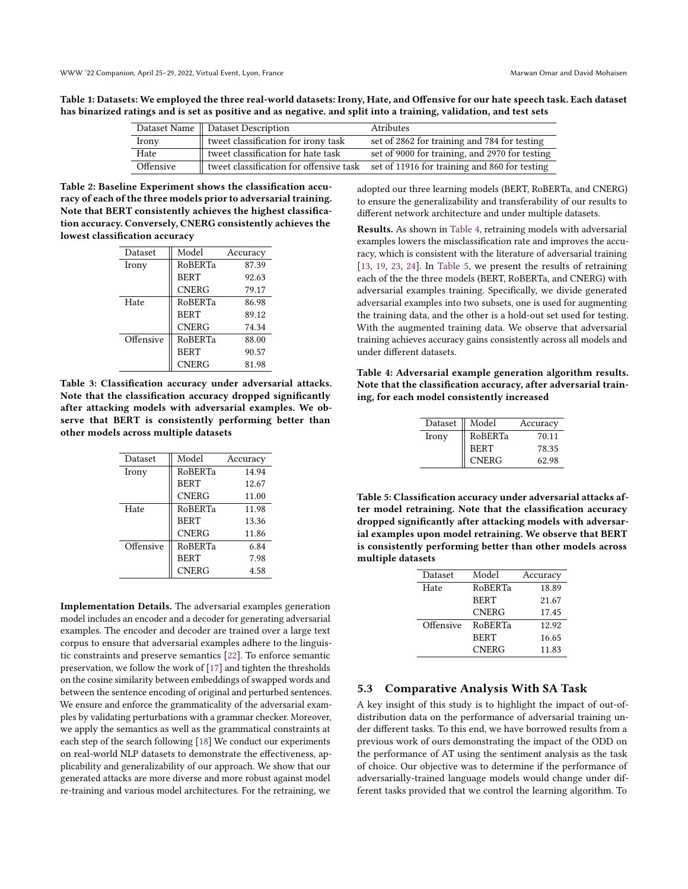<span id="page-5-0"></span>Table 1: Datasets: We employed the three real-world datasets: Irony, Hate, and Offensive for our hate speech task. Each dataset has binarized ratings and is set as positive and as negative. and split into a training, validation, and test sets

|           | Dataset Name    Dataset Description | <b>Atributes</b>                                                                      |
|-----------|-------------------------------------|---------------------------------------------------------------------------------------|
| Irony     | tweet classification for irony task | set of 2862 for training and 784 for testing                                          |
| Hate      | tweet classification for hate task  | set of 9000 for training, and 2970 for testing                                        |
| Offensive |                                     | tweet classification for offensive task set of 11916 for training and 860 for testing |

<span id="page-5-1"></span>Table 2: Baseline Experiment shows the classification accuracy of each of the three models prior to adversarial training. Note that BERT consistently achieves the highest classification accuracy. Conversely, CNERG consistently achieves the lowest classification accuracy

| Dataset   | Model        | Accuracy |  |
|-----------|--------------|----------|--|
| Irony     | RoBERTa      | 87.39    |  |
|           | <b>BERT</b>  | 92.63    |  |
|           | <b>CNERG</b> | 79.17    |  |
| Hate      | RoBERTa      | 86.98    |  |
|           | <b>BERT</b>  | 89.12    |  |
|           | <b>CNERG</b> | 74.34    |  |
| Offensive | RoBERTa      | 88.00    |  |
|           | <b>BERT</b>  | 90.57    |  |
|           | <b>CNERG</b> | 81.98    |  |

<span id="page-5-2"></span>Table 3: Classification accuracy under adversarial attacks. Note that the classification accuracy dropped significantly after attacking models with adversarial examples. We observe that BERT is consistently performing better than other models across multiple datasets

| Dataset   | Model        | Accuracy |  |
|-----------|--------------|----------|--|
| Irony     | RoBERTa      | 14.94    |  |
|           | <b>BERT</b>  | 12.67    |  |
|           | <b>CNERG</b> | 11.00    |  |
| Hate      | RoBERTa      | 11.98    |  |
|           | <b>BERT</b>  | 13.36    |  |
|           | <b>CNERG</b> | 11.86    |  |
| Offensive | RoBERTa      | 6.84     |  |
|           | <b>BERT</b>  | 7.98     |  |
|           | <b>CNERG</b> | 4.58     |  |

Implementation Details. The adversarial examples generation model includes an encoder and a decoder for generating adversarial examples. The encoder and decoder are trained over a large text corpus to ensure that adversarial examples adhere to the linguistic constraints and preserve semantics [\[22\]](#page-6-13). To enforce semantic preservation, we follow the work of [\[17\]](#page-6-16) and tighten the thresholds on the cosine similarity between embeddings of swapped words and between the sentence encoding of original and perturbed sentences. We ensure and enforce the grammaticality of the adversarial examples by validating perturbations with a grammar checker. Moreover, we apply the semantics as well as the grammatical constraints at each step of the search following [\[18\]](#page-6-21) We conduct our experiments on real-world NLP datasets to demonstrate the effectiveness, applicability and generalizability of our approach. We show that our generated attacks are more diverse and more robust against model re-training and various model architectures. For the retraining, we

adopted our three learning models (BERT, RoBERTa, and CNERG) to ensure the generalizability and transferability of our results to different network architecture and under multiple datasets.

Results. As shown in [Table 4,](#page-5-3) retraining models with adversarial examples lowers the misclassification rate and improves the accuracy, which is consistent with the literature of adversarial training [\[13,](#page-6-3) [19,](#page-6-11) [23,](#page-6-25) [24\]](#page-6-17). In [Table 5,](#page-5-4) we present the results of retraining each of the the three models (BERT, RoBERTa, and CNERG) with adversarial examples training. Specifically, we divide generated adversarial examples into two subsets, one is used for augmenting the training data, and the other is a hold-out set used for testing. With the augmented training data. We observe that adversarial training achieves accuracy gains consistently across all models and under different datasets.

<span id="page-5-3"></span>Table 4: Adversarial example generation algorithm results. Note that the classification accuracy, after adversarial training, for each model consistently increased

| Dataset | Model        | Accuracy |  |
|---------|--------------|----------|--|
| Irony   | RoBERTa      | 70.11    |  |
|         | <b>BERT</b>  | 78.35    |  |
|         | <b>CNERG</b> | 62.98    |  |

<span id="page-5-4"></span>Table 5: Classification accuracy under adversarial attacks after model retraining. Note that the classification accuracy dropped significantly after attacking models with adversarial examples upon model retraining. We observe that BERT is consistently performing better than other models across multiple datasets

| Dataset   | Model        | Accuracy |  |
|-----------|--------------|----------|--|
| Hate      | RoBERTa      | 18.89    |  |
|           | <b>BERT</b>  | 21.67    |  |
|           | <b>CNERG</b> | 17.45    |  |
| Offensive | RoBERTa      | 12.92    |  |
|           | <b>BERT</b>  | 16.65    |  |
|           | <b>CNERG</b> | 11.83    |  |

#### 5.3 Comparative Analysis With SA Task

A key insight of this study is to highlight the impact of out-ofdistribution data on the performance of adversarial training under different tasks. To this end, we have borrowed results from a previous work of ours demonstrating the impact of the ODD on the performance of AT using the sentiment analysis as the task of choice. Our objective was to determine if the performance of adversarially-trained language models would change under different tasks provided that we control the learning algorithm. To